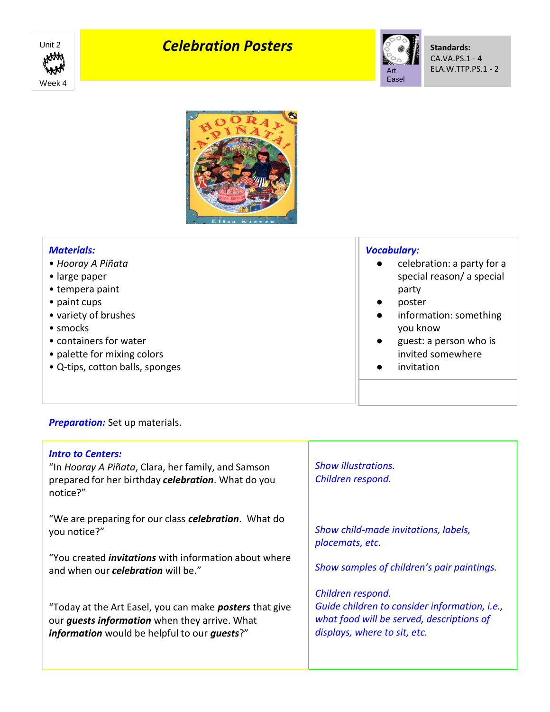

## *Celebration Posters*<br>
With **Exercise Celebration Posters**





| <b>Materials:</b><br>• Hooray A Piñata<br>• large paper<br>• tempera paint<br>• paint cups<br>• variety of brushes | <b>Vocabulary:</b><br>celebration: a party for a<br>$\bullet$<br>special reason/ a special<br>party<br>poster<br>$\bullet$<br>information: something<br>$\bullet$ |
|--------------------------------------------------------------------------------------------------------------------|-------------------------------------------------------------------------------------------------------------------------------------------------------------------|
| $\bullet$ smocks                                                                                                   | you know                                                                                                                                                          |
| • containers for water<br>• palette for mixing colors<br>• Q-tips, cotton balls, sponges                           | guest: a person who is<br>$\bullet$<br>invited somewhere<br>invitation                                                                                            |
|                                                                                                                    |                                                                                                                                                                   |

## *Preparation:* Set up materials.

| <b>Intro to Centers:</b><br>"In Hooray A Piñata, Clara, her family, and Samson<br>prepared for her birthday celebration. What do you<br>notice?"                                     | <b>Show illustrations.</b><br>Children respond.                                                                                                 |
|--------------------------------------------------------------------------------------------------------------------------------------------------------------------------------------|-------------------------------------------------------------------------------------------------------------------------------------------------|
| "We are preparing for our class <b>celebration</b> . What do<br>you notice?"                                                                                                         | Show child-made invitations, labels,<br>placemats, etc.                                                                                         |
| "You created <i>invitations</i> with information about where<br>and when our <b>celebration</b> will be."                                                                            | Show samples of children's pair paintings.                                                                                                      |
| "Today at the Art Easel, you can make <b>posters</b> that give<br>our <i>guests information</i> when they arrive. What<br><i>information</i> would be helpful to our <i>guests?"</i> | Children respond.<br>Guide children to consider information, i.e.,<br>what food will be served, descriptions of<br>displays, where to sit, etc. |